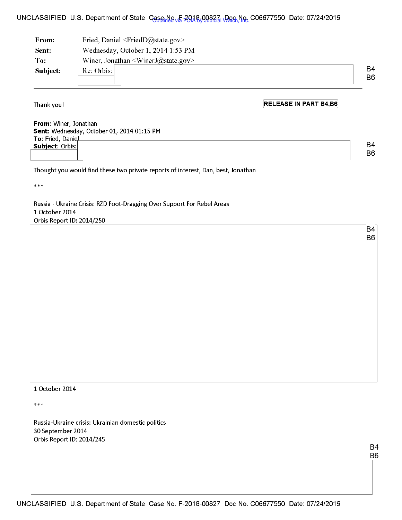## UNCLASSIFIED U.S. Department of State Case No. F-2018-00827, Doc No. C06677550 Date: 07/24/2019

| From:    | Fried, Daniel $\leq$ FriedD $@$ state.gov $>$ |    |
|----------|-----------------------------------------------|----|
| Sent:    | Wednesday, October 1, 2014 1:53 PM            |    |
| To:      | Winer, Jonathan $\leq$ WinerJ $@$ state.gov>  |    |
| Subject: | Re: Orbis:                                    | B4 |
|          |                                               | B6 |

Thank you!

I .

**[RELEASE IN PART B4,B6]** 

**From:** Winer, Jonathan **Sent:** Wednesday, October 01, 2014 01:15 PM **To:** Fried, DaniP...,.I \_\_\_\_\_\_\_\_\_\_\_\_\_\_\_\_\_\_\_\_\_\_\_\_\_\_\_\_\_\_\_ <sup>~</sup> **Subject: Orbis:** 

Thought you would find these two private reports of interest, Dan, best, Jonathan

\*\*\*

Russia - Ukraine Crisis: RZD Foot-Dragging Over Support For Rebel Areas 1 October 2014 Orbis Report ID: 2014/250

> B4 B6

B4 B6

## 1 October 2014

\*\*\*

Russia-Ukraine crisis: Ukrainian domestic politics 30 September 2014 Orbis Report ID: 2014/245

> B4 B6